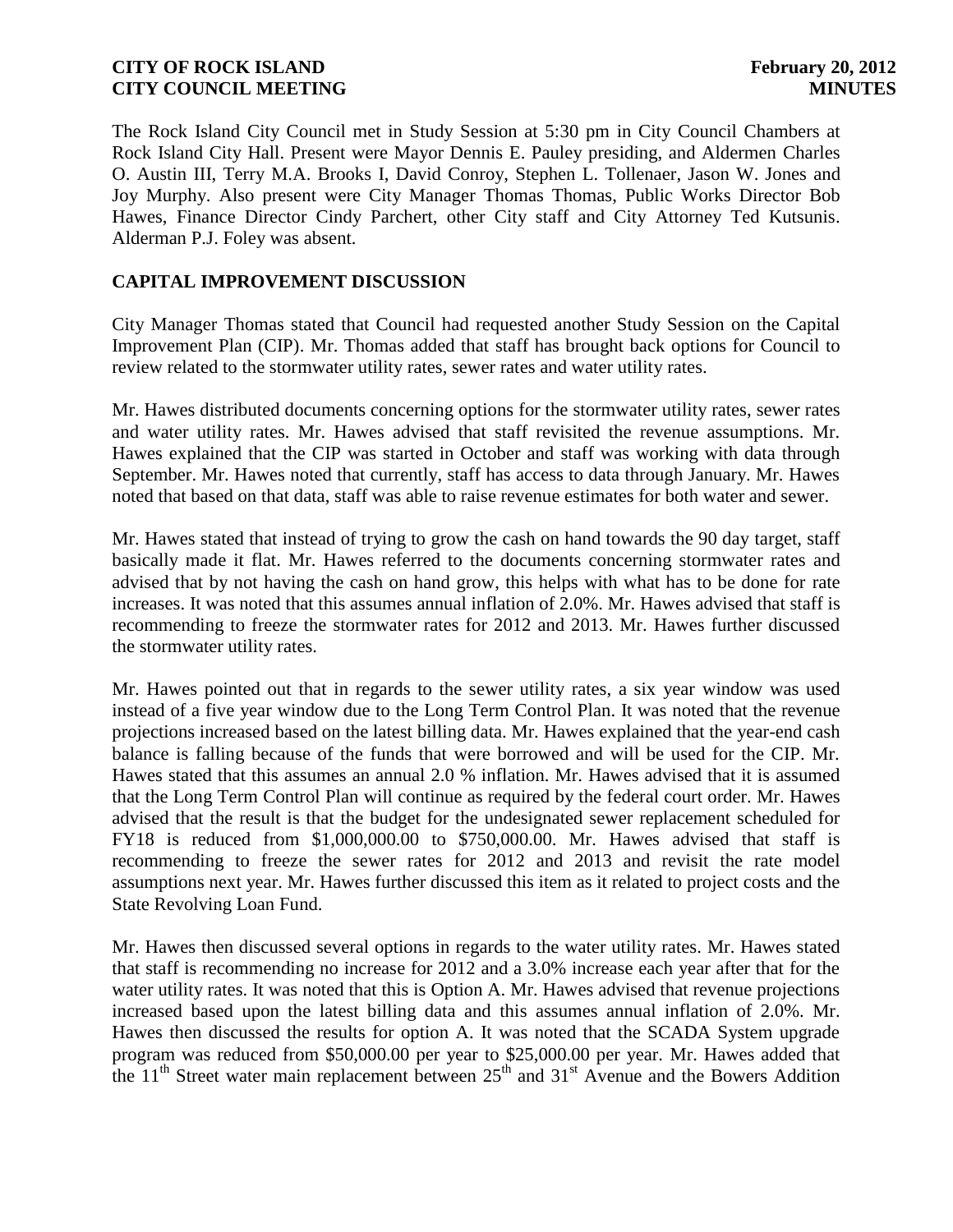The Rock Island City Council met in Study Session at 5:30 pm in City Council Chambers at Rock Island City Hall. Present were Mayor Dennis E. Pauley presiding, and Aldermen Charles O. Austin III, Terry M.A. Brooks I, David Conroy, Stephen L. Tollenaer, Jason W. Jones and Joy Murphy. Also present were City Manager Thomas Thomas, Public Works Director Bob Hawes, Finance Director Cindy Parchert, other City staff and City Attorney Ted Kutsunis. Alderman P.J. Foley was absent.

## **CAPITAL IMPROVEMENT DISCUSSION**

City Manager Thomas stated that Council had requested another Study Session on the Capital Improvement Plan (CIP). Mr. Thomas added that staff has brought back options for Council to review related to the stormwater utility rates, sewer rates and water utility rates.

Mr. Hawes distributed documents concerning options for the stormwater utility rates, sewer rates and water utility rates. Mr. Hawes advised that staff revisited the revenue assumptions. Mr. Hawes explained that the CIP was started in October and staff was working with data through September. Mr. Hawes noted that currently, staff has access to data through January. Mr. Hawes noted that based on that data, staff was able to raise revenue estimates for both water and sewer.

Mr. Hawes stated that instead of trying to grow the cash on hand towards the 90 day target, staff basically made it flat. Mr. Hawes referred to the documents concerning stormwater rates and advised that by not having the cash on hand grow, this helps with what has to be done for rate increases. It was noted that this assumes annual inflation of 2.0%. Mr. Hawes advised that staff is recommending to freeze the stormwater rates for 2012 and 2013. Mr. Hawes further discussed the stormwater utility rates.

Mr. Hawes pointed out that in regards to the sewer utility rates, a six year window was used instead of a five year window due to the Long Term Control Plan. It was noted that the revenue projections increased based on the latest billing data. Mr. Hawes explained that the year-end cash balance is falling because of the funds that were borrowed and will be used for the CIP. Mr. Hawes stated that this assumes an annual 2.0 % inflation. Mr. Hawes advised that it is assumed that the Long Term Control Plan will continue as required by the federal court order. Mr. Hawes advised that the result is that the budget for the undesignated sewer replacement scheduled for FY18 is reduced from \$1,000,000.00 to \$750,000.00. Mr. Hawes advised that staff is recommending to freeze the sewer rates for 2012 and 2013 and revisit the rate model assumptions next year. Mr. Hawes further discussed this item as it related to project costs and the State Revolving Loan Fund.

Mr. Hawes then discussed several options in regards to the water utility rates. Mr. Hawes stated that staff is recommending no increase for 2012 and a 3.0% increase each year after that for the water utility rates. It was noted that this is Option A. Mr. Hawes advised that revenue projections increased based upon the latest billing data and this assumes annual inflation of 2.0%. Mr. Hawes then discussed the results for option A. It was noted that the SCADA System upgrade program was reduced from \$50,000.00 per year to \$25,000.00 per year. Mr. Hawes added that the  $11<sup>th</sup>$  Street water main replacement between  $25<sup>th</sup>$  and  $31<sup>st</sup>$  Avenue and the Bowers Addition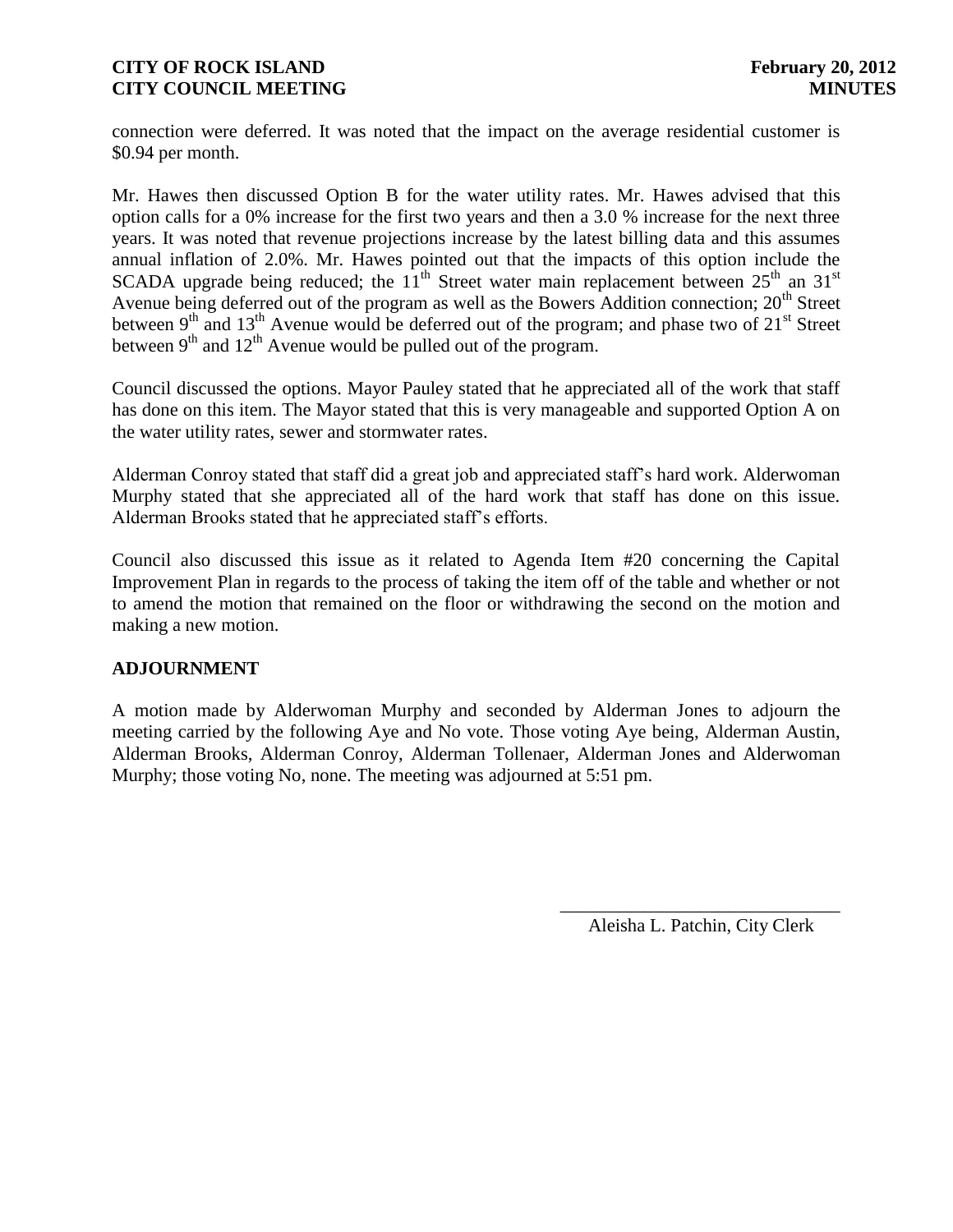connection were deferred. It was noted that the impact on the average residential customer is \$0.94 per month.

Mr. Hawes then discussed Option B for the water utility rates. Mr. Hawes advised that this option calls for a 0% increase for the first two years and then a 3.0 % increase for the next three years. It was noted that revenue projections increase by the latest billing data and this assumes annual inflation of 2.0%. Mr. Hawes pointed out that the impacts of this option include the SCADA upgrade being reduced; the  $11<sup>th</sup>$  Street water main replacement between  $25<sup>th</sup>$  an  $31<sup>st</sup>$ Avenue being deferred out of the program as well as the Bowers Addition connection;  $20<sup>th</sup>$  Street between  $9<sup>th</sup>$  and  $13<sup>th</sup>$  Avenue would be deferred out of the program; and phase two of  $21<sup>st</sup>$  Street between  $9<sup>th</sup>$  and  $12<sup>th</sup>$  Avenue would be pulled out of the program.

Council discussed the options. Mayor Pauley stated that he appreciated all of the work that staff has done on this item. The Mayor stated that this is very manageable and supported Option A on the water utility rates, sewer and stormwater rates.

Alderman Conroy stated that staff did a great job and appreciated staff's hard work. Alderwoman Murphy stated that she appreciated all of the hard work that staff has done on this issue. Alderman Brooks stated that he appreciated staff's efforts.

Council also discussed this issue as it related to Agenda Item #20 concerning the Capital Improvement Plan in regards to the process of taking the item off of the table and whether or not to amend the motion that remained on the floor or withdrawing the second on the motion and making a new motion.

## **ADJOURNMENT**

A motion made by Alderwoman Murphy and seconded by Alderman Jones to adjourn the meeting carried by the following Aye and No vote. Those voting Aye being, Alderman Austin, Alderman Brooks, Alderman Conroy, Alderman Tollenaer, Alderman Jones and Alderwoman Murphy; those voting No, none. The meeting was adjourned at 5:51 pm.

> \_\_\_\_\_\_\_\_\_\_\_\_\_\_\_\_\_\_\_\_\_\_\_\_\_\_\_\_\_\_ Aleisha L. Patchin, City Clerk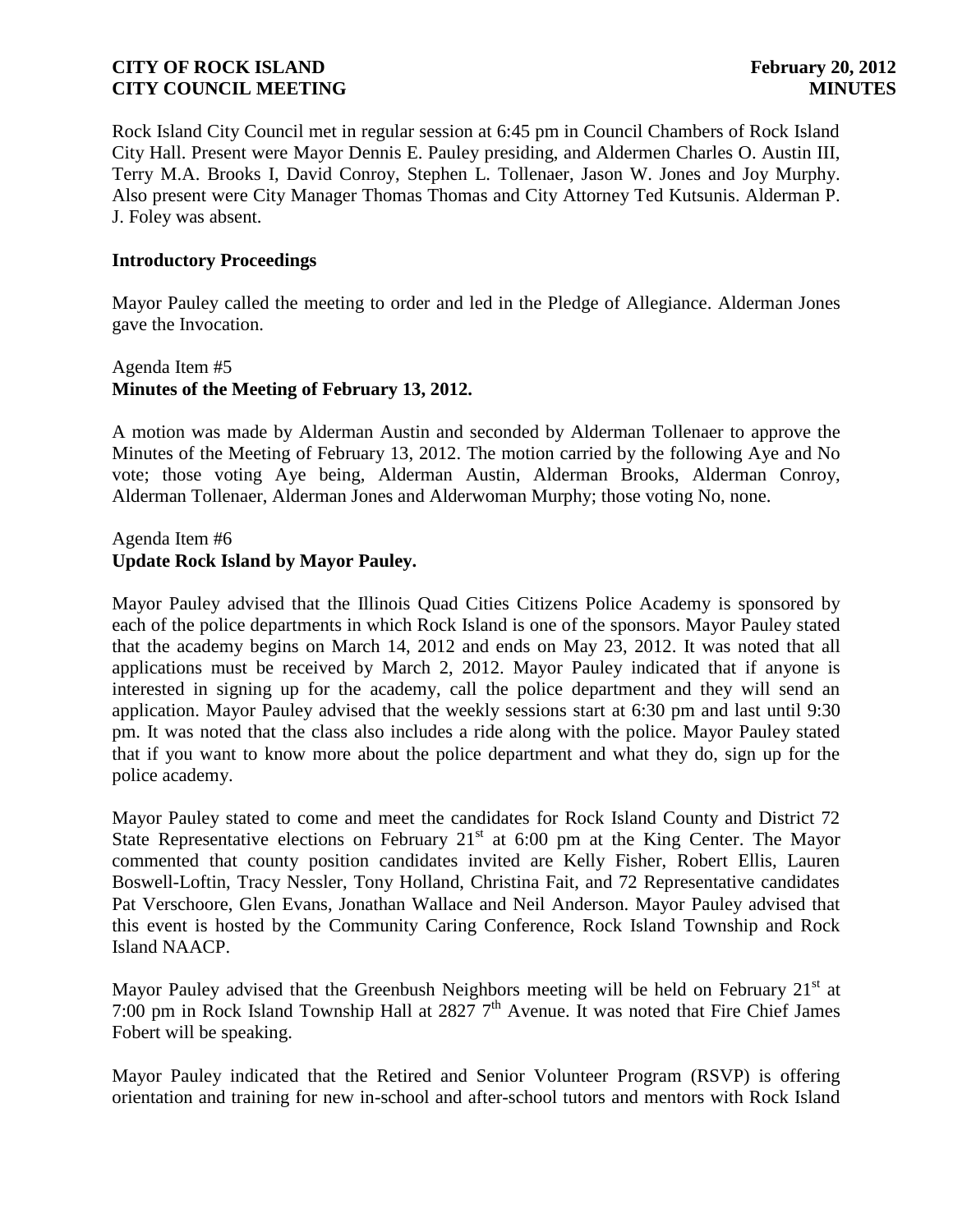Rock Island City Council met in regular session at 6:45 pm in Council Chambers of Rock Island City Hall. Present were Mayor Dennis E. Pauley presiding, and Aldermen Charles O. Austin III, Terry M.A. Brooks I, David Conroy, Stephen L. Tollenaer, Jason W. Jones and Joy Murphy. Also present were City Manager Thomas Thomas and City Attorney Ted Kutsunis. Alderman P. J. Foley was absent.

### **Introductory Proceedings**

Mayor Pauley called the meeting to order and led in the Pledge of Allegiance. Alderman Jones gave the Invocation.

## Agenda Item #5 **Minutes of the Meeting of February 13, 2012.**

A motion was made by Alderman Austin and seconded by Alderman Tollenaer to approve the Minutes of the Meeting of February 13, 2012. The motion carried by the following Aye and No vote; those voting Aye being, Alderman Austin, Alderman Brooks, Alderman Conroy, Alderman Tollenaer, Alderman Jones and Alderwoman Murphy; those voting No, none.

## Agenda Item #6 **Update Rock Island by Mayor Pauley.**

Mayor Pauley advised that the Illinois Quad Cities Citizens Police Academy is sponsored by each of the police departments in which Rock Island is one of the sponsors. Mayor Pauley stated that the academy begins on March 14, 2012 and ends on May 23, 2012. It was noted that all applications must be received by March 2, 2012. Mayor Pauley indicated that if anyone is interested in signing up for the academy, call the police department and they will send an application. Mayor Pauley advised that the weekly sessions start at 6:30 pm and last until 9:30 pm. It was noted that the class also includes a ride along with the police. Mayor Pauley stated that if you want to know more about the police department and what they do, sign up for the police academy.

Mayor Pauley stated to come and meet the candidates for Rock Island County and District 72 State Representative elections on February  $21<sup>st</sup>$  at 6:00 pm at the King Center. The Mayor commented that county position candidates invited are Kelly Fisher, Robert Ellis, Lauren Boswell-Loftin, Tracy Nessler, Tony Holland, Christina Fait, and 72 Representative candidates Pat Verschoore, Glen Evans, Jonathan Wallace and Neil Anderson. Mayor Pauley advised that this event is hosted by the Community Caring Conference, Rock Island Township and Rock Island NAACP.

Mayor Pauley advised that the Greenbush Neighbors meeting will be held on February 21<sup>st</sup> at 7:00 pm in Rock Island Township Hall at 2827  $7<sup>th</sup>$  Avenue. It was noted that Fire Chief James Fobert will be speaking.

Mayor Pauley indicated that the Retired and Senior Volunteer Program (RSVP) is offering orientation and training for new in-school and after-school tutors and mentors with Rock Island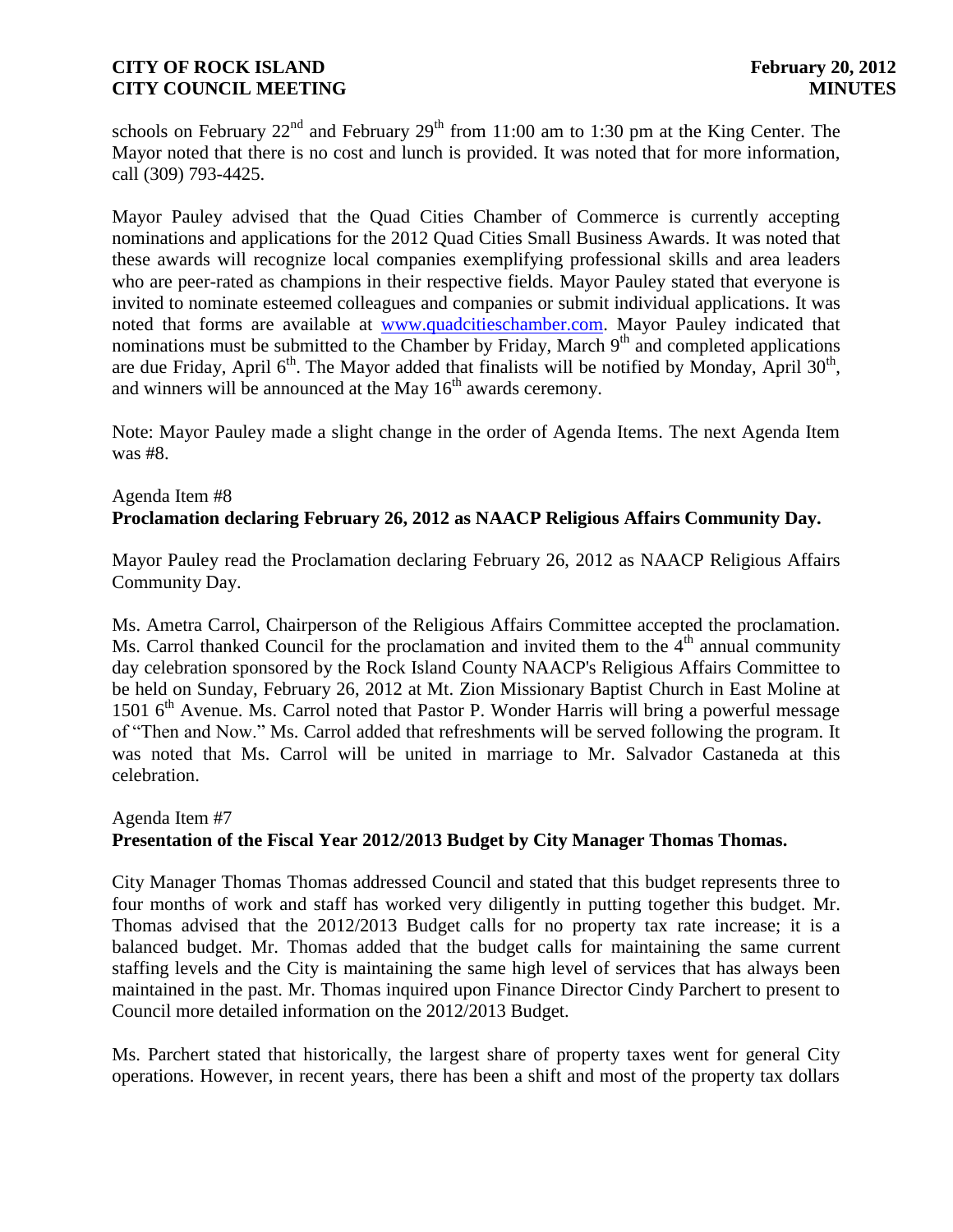schools on February  $22^{nd}$  and February  $29^{th}$  from 11:00 am to 1:30 pm at the King Center. The Mayor noted that there is no cost and lunch is provided. It was noted that for more information, call (309) 793-4425.

Mayor Pauley advised that the Quad Cities Chamber of Commerce is currently accepting nominations and applications for the 2012 Quad Cities Small Business Awards. It was noted that these awards will recognize local companies exemplifying professional skills and area leaders who are peer-rated as champions in their respective fields. Mayor Pauley stated that everyone is invited to nominate esteemed colleagues and companies or submit individual applications. It was noted that forms are available at [www.quadcitieschamber.com.](http://www.quadcitieschamber.com/) Mayor Pauley indicated that nominations must be submitted to the Chamber by Friday, March  $9<sup>th</sup>$  and completed applications are due Friday, April  $6<sup>th</sup>$ . The Mayor added that finalists will be notified by Monday, April 30<sup>th</sup>, and winners will be announced at the May  $16<sup>th</sup>$  awards ceremony.

Note: Mayor Pauley made a slight change in the order of Agenda Items. The next Agenda Item was #8.

## Agenda Item #8 **Proclamation declaring February 26, 2012 as NAACP Religious Affairs Community Day.**

Mayor Pauley read the Proclamation declaring February 26, 2012 as NAACP Religious Affairs Community Day.

Ms. Ametra Carrol, Chairperson of the Religious Affairs Committee accepted the proclamation. Ms. Carrol thanked Council for the proclamation and invited them to the  $4<sup>th</sup>$  annual community day celebration sponsored by the Rock Island County NAACP's Religious Affairs Committee to be held on Sunday, February 26, 2012 at Mt. Zion Missionary Baptist Church in East Moline at 1501  $6<sup>th</sup>$  Avenue. Ms. Carrol noted that Pastor P. Wonder Harris will bring a powerful message of "Then and Now." Ms. Carrol added that refreshments will be served following the program. It was noted that Ms. Carrol will be united in marriage to Mr. Salvador Castaneda at this celebration.

# Agenda Item #7 **Presentation of the Fiscal Year 2012/2013 Budget by City Manager Thomas Thomas.**

City Manager Thomas Thomas addressed Council and stated that this budget represents three to four months of work and staff has worked very diligently in putting together this budget. Mr. Thomas advised that the 2012/2013 Budget calls for no property tax rate increase; it is a balanced budget. Mr. Thomas added that the budget calls for maintaining the same current staffing levels and the City is maintaining the same high level of services that has always been maintained in the past. Mr. Thomas inquired upon Finance Director Cindy Parchert to present to Council more detailed information on the 2012/2013 Budget.

Ms. Parchert stated that historically, the largest share of property taxes went for general City operations. However, in recent years, there has been a shift and most of the property tax dollars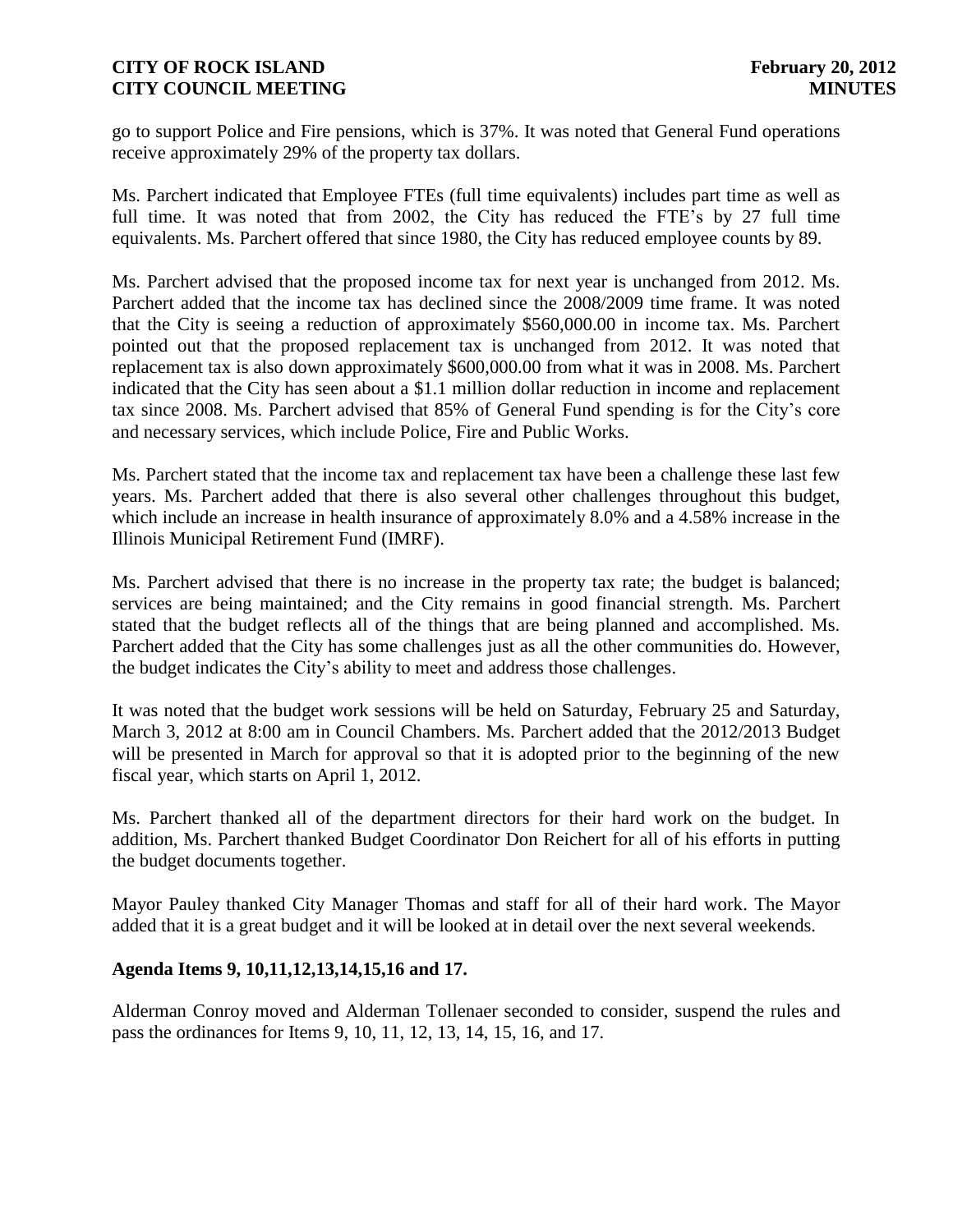go to support Police and Fire pensions, which is 37%. It was noted that General Fund operations receive approximately 29% of the property tax dollars.

Ms. Parchert indicated that Employee FTEs (full time equivalents) includes part time as well as full time. It was noted that from 2002, the City has reduced the FTE's by 27 full time equivalents. Ms. Parchert offered that since 1980, the City has reduced employee counts by 89.

Ms. Parchert advised that the proposed income tax for next year is unchanged from 2012. Ms. Parchert added that the income tax has declined since the 2008/2009 time frame. It was noted that the City is seeing a reduction of approximately \$560,000.00 in income tax. Ms. Parchert pointed out that the proposed replacement tax is unchanged from 2012. It was noted that replacement tax is also down approximately \$600,000.00 from what it was in 2008. Ms. Parchert indicated that the City has seen about a \$1.1 million dollar reduction in income and replacement tax since 2008. Ms. Parchert advised that 85% of General Fund spending is for the City's core and necessary services, which include Police, Fire and Public Works.

Ms. Parchert stated that the income tax and replacement tax have been a challenge these last few years. Ms. Parchert added that there is also several other challenges throughout this budget, which include an increase in health insurance of approximately 8.0% and a 4.58% increase in the Illinois Municipal Retirement Fund (IMRF).

Ms. Parchert advised that there is no increase in the property tax rate; the budget is balanced; services are being maintained; and the City remains in good financial strength. Ms. Parchert stated that the budget reflects all of the things that are being planned and accomplished. Ms. Parchert added that the City has some challenges just as all the other communities do. However, the budget indicates the City's ability to meet and address those challenges.

It was noted that the budget work sessions will be held on Saturday, February 25 and Saturday, March 3, 2012 at 8:00 am in Council Chambers. Ms. Parchert added that the 2012/2013 Budget will be presented in March for approval so that it is adopted prior to the beginning of the new fiscal year, which starts on April 1, 2012.

Ms. Parchert thanked all of the department directors for their hard work on the budget. In addition, Ms. Parchert thanked Budget Coordinator Don Reichert for all of his efforts in putting the budget documents together.

Mayor Pauley thanked City Manager Thomas and staff for all of their hard work. The Mayor added that it is a great budget and it will be looked at in detail over the next several weekends.

## **Agenda Items 9, 10,11,12,13,14,15,16 and 17.**

Alderman Conroy moved and Alderman Tollenaer seconded to consider, suspend the rules and pass the ordinances for Items 9, 10, 11, 12, 13, 14, 15, 16, and 17.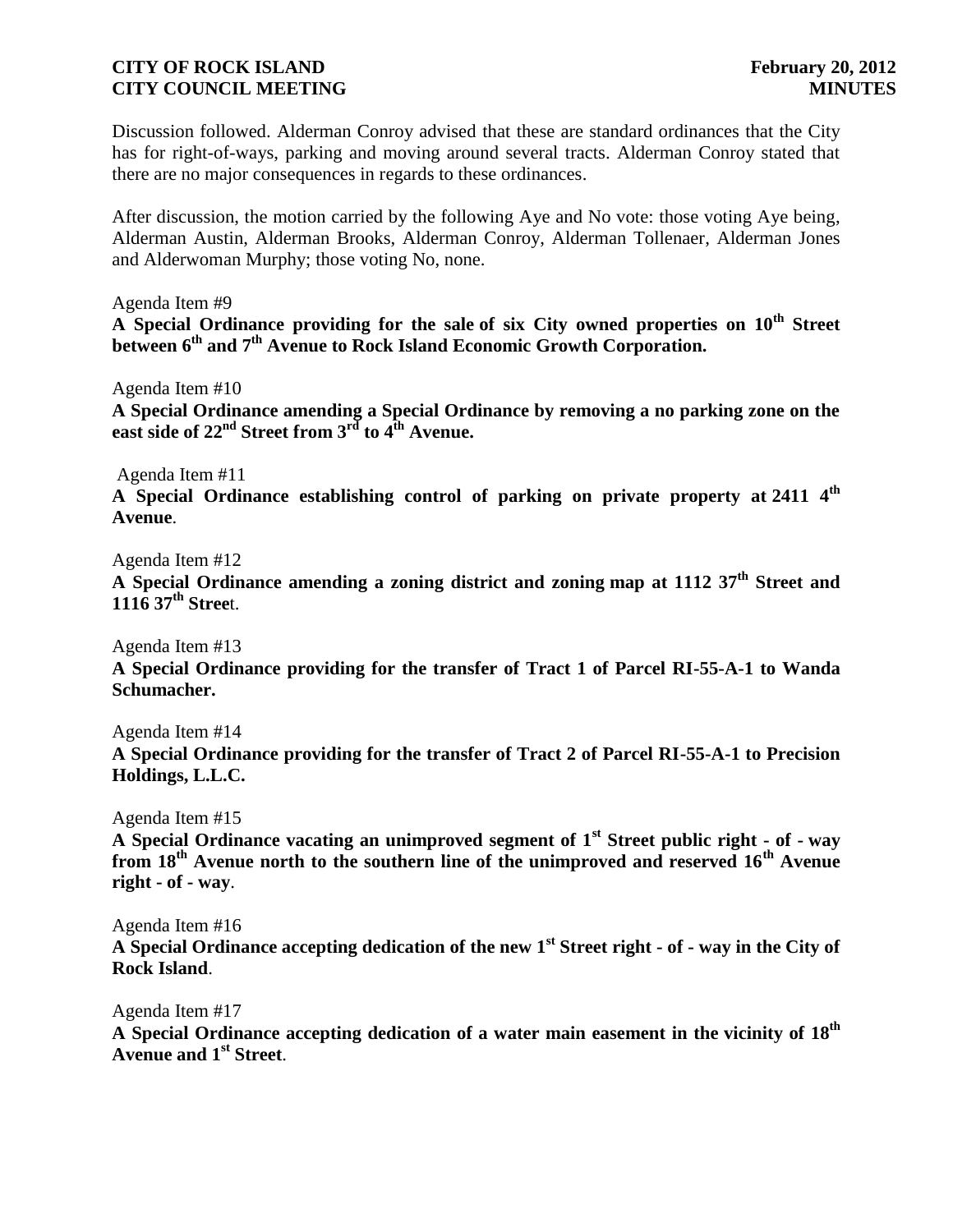Discussion followed. Alderman Conroy advised that these are standard ordinances that the City has for right-of-ways, parking and moving around several tracts. Alderman Conroy stated that there are no major consequences in regards to these ordinances.

After discussion, the motion carried by the following Aye and No vote: those voting Aye being, Alderman Austin, Alderman Brooks, Alderman Conroy, Alderman Tollenaer, Alderman Jones and Alderwoman Murphy; those voting No, none.

Agenda Item #9

**A Special Ordinance providing for the sale of six City owned properties on 10th Street between 6th and 7th Avenue to Rock Island Economic Growth Corporation.**

Agenda Item #10

**A Special Ordinance amending a Special Ordinance by removing a no parking zone on the east side of 22nd Street from 3rd to 4th Avenue.**

Agenda Item #11

**A Special Ordinance establishing control of parking on private property at 2411 4th Avenue**.

Agenda Item #12

**A Special Ordinance amending a zoning district and zoning map at 1112 37th Street and 1116 37th Stree**t.

Agenda Item #13

**A Special Ordinance providing for the transfer of Tract 1 of Parcel RI-55-A-1 to Wanda Schumacher.**

Agenda Item #14

**A Special Ordinance providing for the transfer of Tract 2 of Parcel RI-55-A-1 to Precision Holdings, L.L.C.**

Agenda Item #15

**A Special Ordinance vacating an unimproved segment of 1st Street public right - of - way from 18th Avenue north to the southern line of the unimproved and reserved 16th Avenue right - of - way**.

Agenda Item #16

**A Special Ordinance accepting dedication of the new 1st Street right - of - way in the City of Rock Island**.

Agenda Item #17

**A Special Ordinance accepting dedication of a water main easement in the vicinity of 18th Avenue and 1st Street**.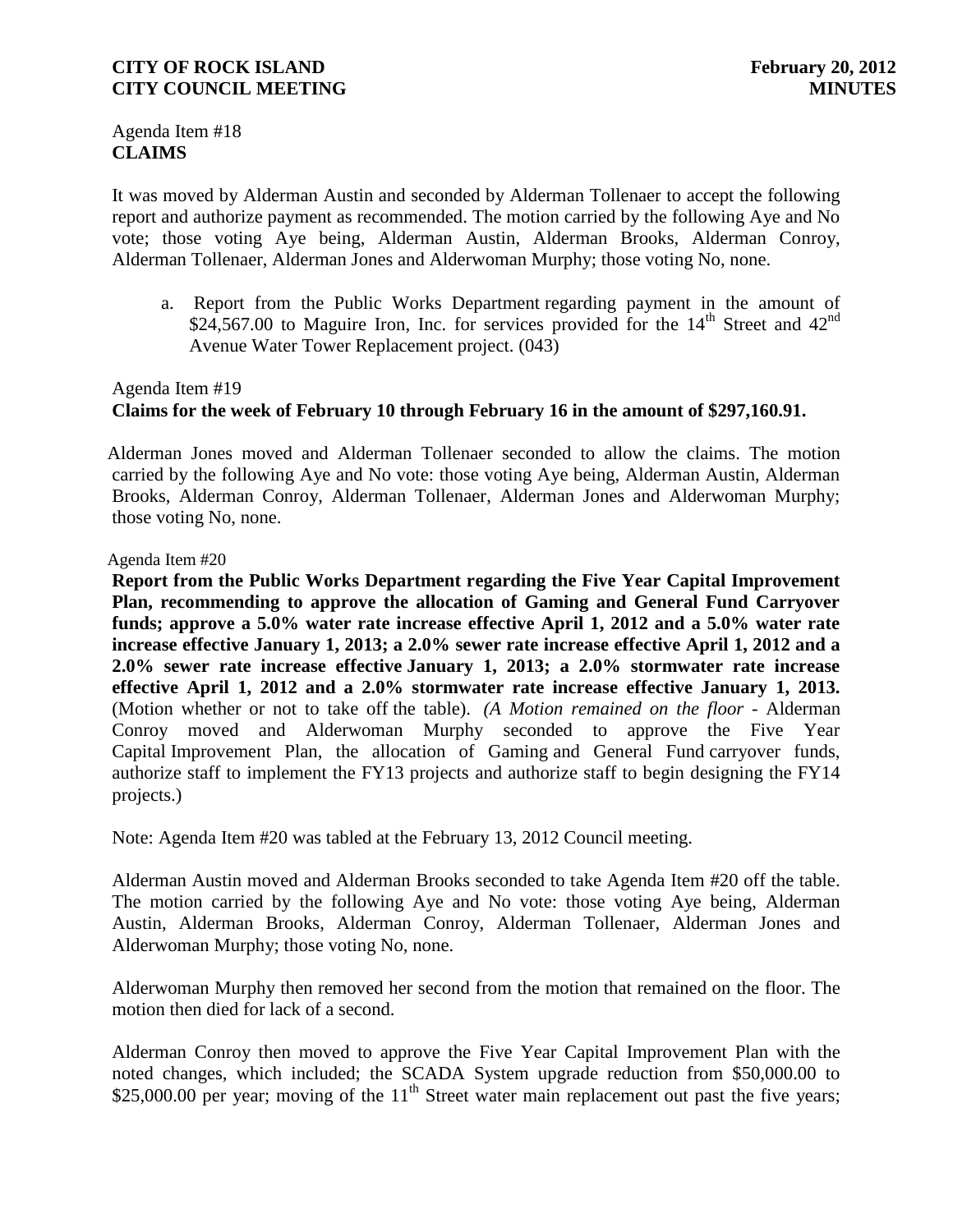Agenda Item #18 **CLAIMS**

It was moved by Alderman Austin and seconded by Alderman Tollenaer to accept the following report and authorize payment as recommended. The motion carried by the following Aye and No vote; those voting Aye being, Alderman Austin, Alderman Brooks, Alderman Conroy, Alderman Tollenaer, Alderman Jones and Alderwoman Murphy; those voting No, none.

a. Report from the Public Works Department regarding payment in the amount of \$24,567.00 to Maguire Iron, Inc. for services provided for the  $14<sup>th</sup>$  Street and  $42<sup>nd</sup>$ Avenue Water Tower Replacement project. (043)

# Agenda Item #19 **Claims for the week of February 10 through February 16 in the amount of \$297,160.91.**

 Alderman Jones moved and Alderman Tollenaer seconded to allow the claims. The motion carried by the following Aye and No vote: those voting Aye being, Alderman Austin, Alderman Brooks, Alderman Conroy, Alderman Tollenaer, Alderman Jones and Alderwoman Murphy; those voting No, none.

Agenda Item #20

**Report from the Public Works Department regarding the Five Year Capital Improvement Plan, recommending to approve the allocation of Gaming and General Fund Carryover funds; approve a 5.0% water rate increase effective April 1, 2012 and a 5.0% water rate increase effective January 1, 2013; a 2.0% sewer rate increase effective April 1, 2012 and a 2.0% sewer rate increase effective January 1, 2013; a 2.0% stormwater rate increase effective April 1, 2012 and a 2.0% stormwater rate increase effective January 1, 2013.** (Motion whether or not to take off the table). *(A Motion remained on the floor -* Alderman Conroy moved and Alderwoman Murphy seconded to approve the Five Year Capital Improvement Plan, the allocation of Gaming and General Fund carryover funds, authorize staff to implement the FY13 projects and authorize staff to begin designing the FY14 projects.)

Note: Agenda Item #20 was tabled at the February 13, 2012 Council meeting.

Alderman Austin moved and Alderman Brooks seconded to take Agenda Item #20 off the table. The motion carried by the following Aye and No vote: those voting Aye being, Alderman Austin, Alderman Brooks, Alderman Conroy, Alderman Tollenaer, Alderman Jones and Alderwoman Murphy; those voting No, none.

Alderwoman Murphy then removed her second from the motion that remained on the floor. The motion then died for lack of a second.

Alderman Conroy then moved to approve the Five Year Capital Improvement Plan with the noted changes, which included; the SCADA System upgrade reduction from \$50,000.00 to \$25,000.00 per year; moving of the  $11<sup>th</sup>$  Street water main replacement out past the five years;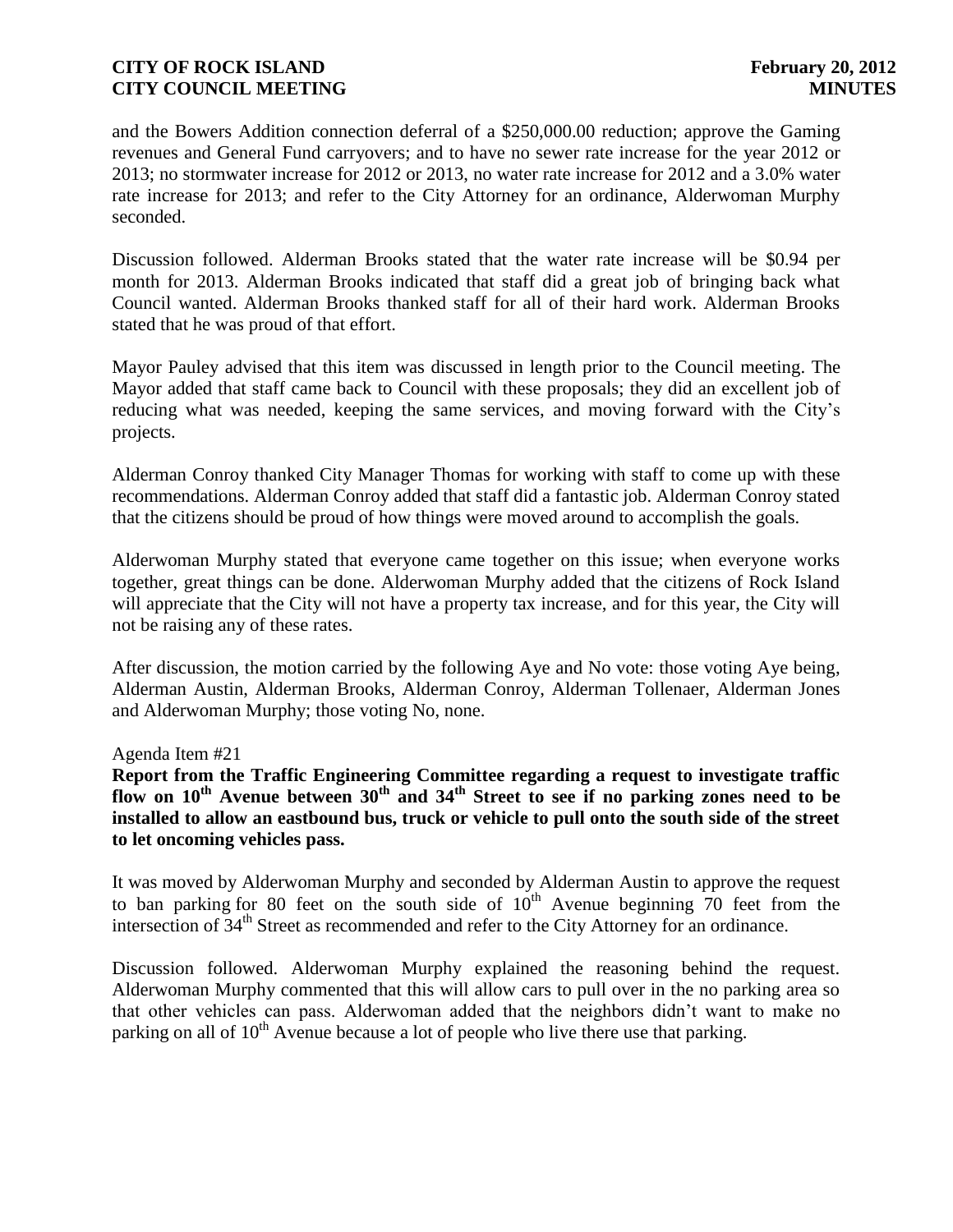and the Bowers Addition connection deferral of a \$250,000.00 reduction; approve the Gaming revenues and General Fund carryovers; and to have no sewer rate increase for the year 2012 or 2013; no stormwater increase for 2012 or 2013, no water rate increase for 2012 and a 3.0% water rate increase for 2013; and refer to the City Attorney for an ordinance, Alderwoman Murphy seconded.

Discussion followed. Alderman Brooks stated that the water rate increase will be \$0.94 per month for 2013. Alderman Brooks indicated that staff did a great job of bringing back what Council wanted. Alderman Brooks thanked staff for all of their hard work. Alderman Brooks stated that he was proud of that effort.

Mayor Pauley advised that this item was discussed in length prior to the Council meeting. The Mayor added that staff came back to Council with these proposals; they did an excellent job of reducing what was needed, keeping the same services, and moving forward with the City's projects.

Alderman Conroy thanked City Manager Thomas for working with staff to come up with these recommendations. Alderman Conroy added that staff did a fantastic job. Alderman Conroy stated that the citizens should be proud of how things were moved around to accomplish the goals.

Alderwoman Murphy stated that everyone came together on this issue; when everyone works together, great things can be done. Alderwoman Murphy added that the citizens of Rock Island will appreciate that the City will not have a property tax increase, and for this year, the City will not be raising any of these rates.

After discussion, the motion carried by the following Aye and No vote: those voting Aye being, Alderman Austin, Alderman Brooks, Alderman Conroy, Alderman Tollenaer, Alderman Jones and Alderwoman Murphy; those voting No, none.

Agenda Item #21

**Report from the Traffic Engineering Committee regarding a request to investigate traffic flow on 10th Avenue between 30th and 34th Street to see if no parking zones need to be installed to allow an eastbound bus, truck or vehicle to pull onto the south side of the street to let oncoming vehicles pass.**

It was moved by Alderwoman Murphy and seconded by Alderman Austin to approve the request to ban parking for 80 feet on the south side of  $10^{th}$  Avenue beginning 70 feet from the intersection of  $34<sup>th</sup>$  Street as recommended and refer to the City Attorney for an ordinance.

Discussion followed. Alderwoman Murphy explained the reasoning behind the request. Alderwoman Murphy commented that this will allow cars to pull over in the no parking area so that other vehicles can pass. Alderwoman added that the neighbors didn't want to make no parking on all of 10<sup>th</sup> Avenue because a lot of people who live there use that parking.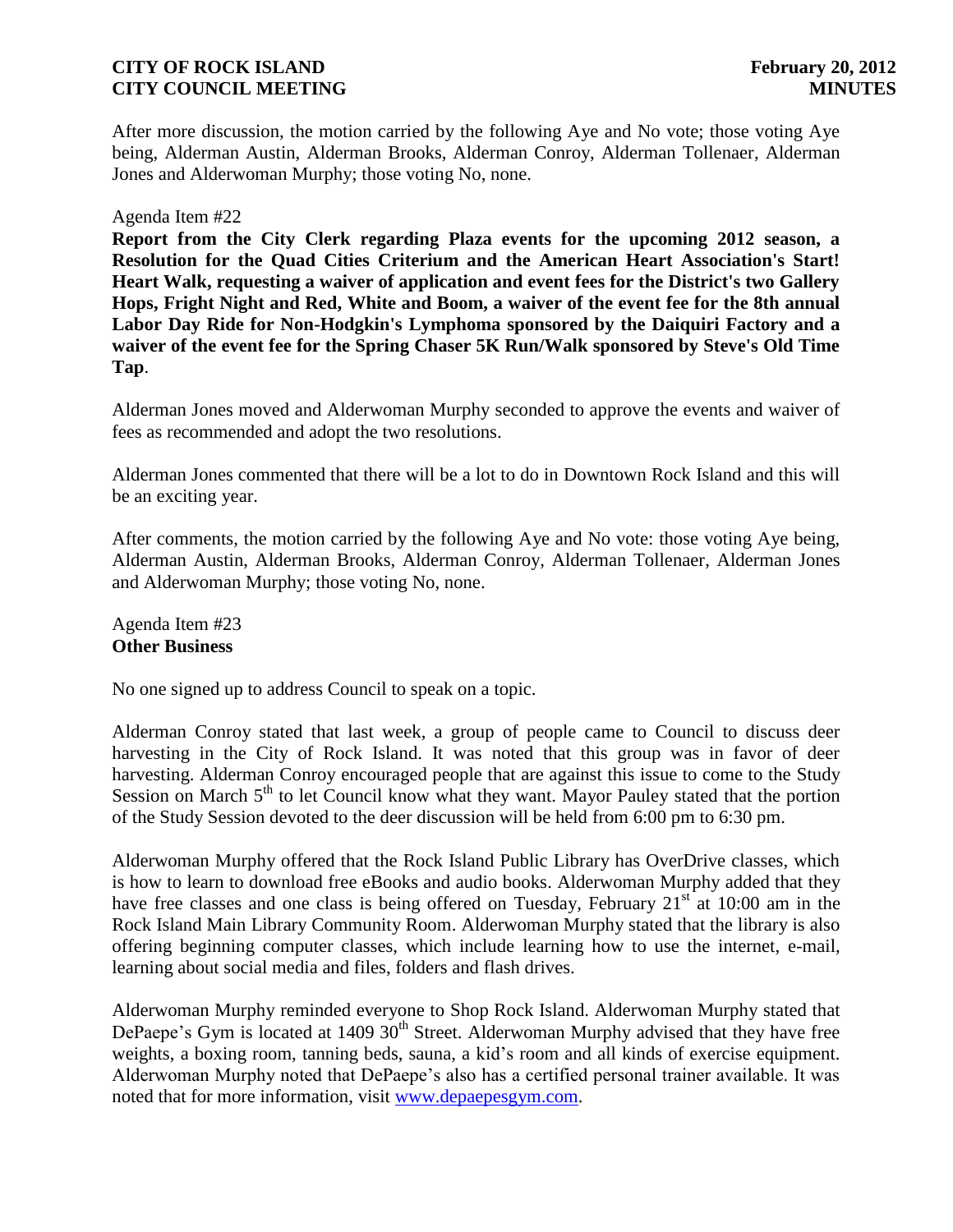After more discussion, the motion carried by the following Aye and No vote; those voting Aye being, Alderman Austin, Alderman Brooks, Alderman Conroy, Alderman Tollenaer, Alderman Jones and Alderwoman Murphy; those voting No, none.

#### Agenda Item #22

**Report from the City Clerk regarding Plaza events for the upcoming 2012 season, a Resolution for the Quad Cities Criterium and the American Heart Association's Start! Heart Walk, requesting a waiver of application and event fees for the District's two Gallery Hops, Fright Night and Red, White and Boom, a waiver of the event fee for the 8th annual Labor Day Ride for Non-Hodgkin's Lymphoma sponsored by the Daiquiri Factory and a waiver of the event fee for the Spring Chaser 5K Run/Walk sponsored by Steve's Old Time Tap**.

Alderman Jones moved and Alderwoman Murphy seconded to approve the events and waiver of fees as recommended and adopt the two resolutions.

Alderman Jones commented that there will be a lot to do in Downtown Rock Island and this will be an exciting year.

After comments, the motion carried by the following Aye and No vote: those voting Aye being, Alderman Austin, Alderman Brooks, Alderman Conroy, Alderman Tollenaer, Alderman Jones and Alderwoman Murphy; those voting No, none.

Agenda Item #23 **Other Business**

No one signed up to address Council to speak on a topic.

Alderman Conroy stated that last week, a group of people came to Council to discuss deer harvesting in the City of Rock Island. It was noted that this group was in favor of deer harvesting. Alderman Conroy encouraged people that are against this issue to come to the Study Session on March  $5<sup>th</sup>$  to let Council know what they want. Mayor Pauley stated that the portion of the Study Session devoted to the deer discussion will be held from 6:00 pm to 6:30 pm.

Alderwoman Murphy offered that the Rock Island Public Library has OverDrive classes, which is how to learn to download free eBooks and audio books. Alderwoman Murphy added that they have free classes and one class is being offered on Tuesday, February  $21<sup>st</sup>$  at 10:00 am in the Rock Island Main Library Community Room. Alderwoman Murphy stated that the library is also offering beginning computer classes, which include learning how to use the internet, e-mail, learning about social media and files, folders and flash drives.

Alderwoman Murphy reminded everyone to Shop Rock Island. Alderwoman Murphy stated that DePaepe's Gym is located at 1409  $30<sup>th</sup>$  Street. Alderwoman Murphy advised that they have free weights, a boxing room, tanning beds, sauna, a kid's room and all kinds of exercise equipment. Alderwoman Murphy noted that DePaepe's also has a certified personal trainer available. It was noted that for more information, visit [www.depaepesgym.com.](http://www.depaepesgym.com/)